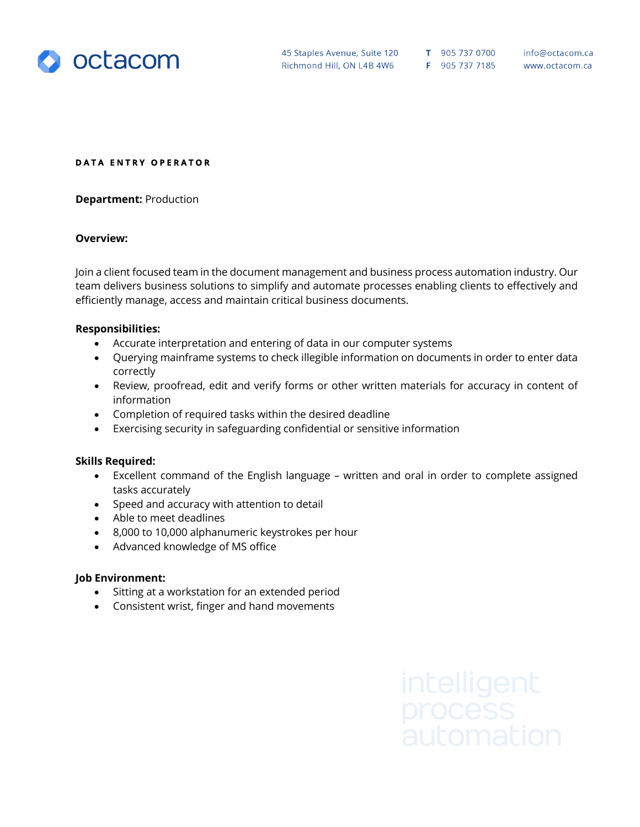

45 Staples Avenue, Suite 120 T 905 737 0700 Richmond Hill, ON L4B 4W6 F 905 737 7185

info@octacom.ca www.octacom.ca

#### **DATA ENTRY OPERATOR**

**Department:** Production

### **Overview:**

Join a client focused team in the document management and business process automation industry. Our team delivers business solutions to simplify and automate processes enabling clients to effectively and efficiently manage, access and maintain critical business documents.

#### **Responsibilities:**

- Accurate interpretation and entering of data in our computer systems
- Querying mainframe systems to check illegible information on documents in order to enter data correctly
- Review, proofread, edit and verify forms or other written materials for accuracy in content of information
- Completion of required tasks within the desired deadline
- Exercising security in safeguarding confidential or sensitive information

# **Skills Required:**

- Excellent command of the English language written and oral in order to complete assigned tasks accurately
- Speed and accuracy with attention to detail
- Able to meet deadlines
- 8,000 to 10,000 alphanumeric keystrokes per hour
- Advanced knowledge of MS office

# **Job Environment:**

- Sitting at a workstation for an extended period
- Consistent wrist, finger and hand movements